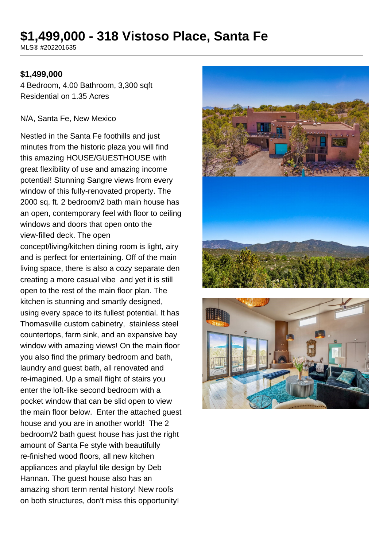# **\$1,499,000 - 318 Vistoso Place, Santa Fe**

MLS® #202201635

### **\$1,499,000**

4 Bedroom, 4.00 Bathroom, 3,300 sqft Residential on 1.35 Acres

#### N/A, Santa Fe, New Mexico

Nestled in the Santa Fe foothills and just minutes from the historic plaza you will find this amazing HOUSE/GUESTHOUSE with great flexibility of use and amazing income potential! Stunning Sangre views from every window of this fully-renovated property. The 2000 sq. ft. 2 bedroom/2 bath main house has an open, contemporary feel with floor to ceiling windows and doors that open onto the view-filled deck. The open

concept/living/kitchen dining room is light, airy and is perfect for entertaining. Off of the main living space, there is also a cozy separate den creating a more casual vibe and yet it is still open to the rest of the main floor plan. The kitchen is stunning and smartly designed, using every space to its fullest potential. It has Thomasville custom cabinetry, stainless steel countertops, farm sink, and an expansive bay window with amazing views! On the main floor you also find the primary bedroom and bath, laundry and guest bath, all renovated and re-imagined. Up a small flight of stairs you enter the loft-like second bedroom with a pocket window that can be slid open to view the main floor below. Enter the attached guest house and you are in another world! The 2 bedroom/2 bath guest house has just the right amount of Santa Fe style with beautifully re-finished wood floors, all new kitchen appliances and playful tile design by Deb Hannan. The guest house also has an amazing short term rental history! New roofs on both structures, don't miss this opportunity!



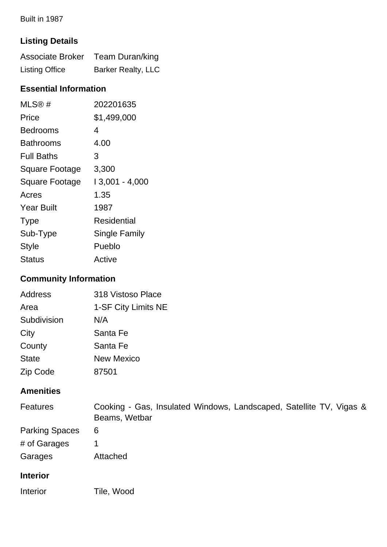Built in 1987

## **Listing Details**

|                       | Associate Broker Team Duran/king |
|-----------------------|----------------------------------|
| <b>Listing Office</b> | <b>Barker Realty, LLC</b>        |

## **Essential Information**

| MLS®#                 | 202201635            |
|-----------------------|----------------------|
| Price                 | \$1,499,000          |
| Bedrooms              | 4                    |
| Bathrooms             | 4.00                 |
| <b>Full Baths</b>     | 3                    |
| Square Footage        | 3,300                |
| <b>Square Footage</b> | $13,001 - 4,000$     |
| Acres                 | 1.35                 |
| <b>Year Built</b>     | 1987                 |
| <b>Type</b>           | Residential          |
| Sub-Type              | <b>Single Family</b> |
| <b>Style</b>          | Pueblo               |
| Status                | Active               |

## **Community Information**

| Address      | 318 Vistoso Place   |
|--------------|---------------------|
| Area         | 1-SF City Limits NE |
| Subdivision  | N/A                 |
| City         | Santa Fe            |
| County       | Santa Fe            |
| <b>State</b> | <b>New Mexico</b>   |
| Zip Code     | 87501               |

### **Amenities**

| <b>Features</b>       | Cooking - Gas, Insulated Windows, Landscaped, Satellite TV, Vigas &<br>Beams, Wetbar |
|-----------------------|--------------------------------------------------------------------------------------|
| <b>Parking Spaces</b> | 6                                                                                    |
| # of Garages          |                                                                                      |
| Garages               | Attached                                                                             |
| <b>Interior</b>       |                                                                                      |
| Interior              | Tile, Wood                                                                           |